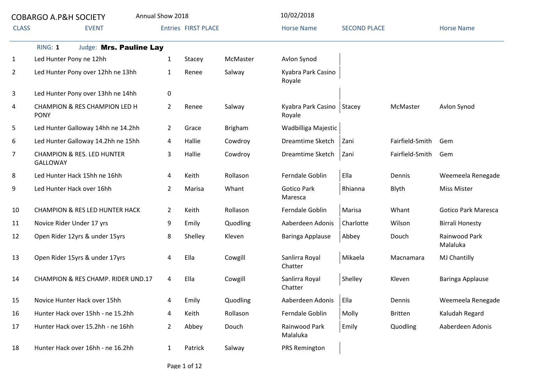|              | <b>COBARGO A.P&amp;H SOCIETY</b>                         | Annual Show 2018 |                            |          | 10/02/2018                            |                     |                 |                            |
|--------------|----------------------------------------------------------|------------------|----------------------------|----------|---------------------------------------|---------------------|-----------------|----------------------------|
| <b>CLASS</b> | <b>EVENT</b>                                             |                  | <b>Entries FIRST PLACE</b> |          | <b>Horse Name</b>                     | <b>SECOND PLACE</b> |                 | <b>Horse Name</b>          |
|              | Judge: Mrs. Pauline Lay<br>RING: 1                       |                  |                            |          |                                       |                     |                 |                            |
| 1            | Led Hunter Pony ne 12hh                                  | $\mathbf{1}$     | Stacey                     | McMaster | Avlon Synod                           |                     |                 |                            |
| $\mathbf{2}$ | Led Hunter Pony over 12hh ne 13hh                        | $\mathbf{1}$     | Renee                      | Salway   | Kyabra Park Casino<br>Royale          |                     |                 |                            |
| 3            | Led Hunter Pony over 13hh ne 14hh                        | 0                |                            |          |                                       |                     |                 |                            |
| 4            | CHAMPION & RES CHAMPION LED H<br><b>PONY</b>             | $\overline{2}$   | Renee                      | Salway   | Kyabra Park Casino   Stacey<br>Royale |                     | McMaster        | Avlon Synod                |
| 5            | Led Hunter Galloway 14hh ne 14.2hh                       | $\overline{2}$   | Grace                      | Brigham  | Wadbilliga Majestic                   |                     |                 |                            |
| 6            | Led Hunter Galloway 14.2hh ne 15hh                       | 4                | Hallie                     | Cowdroy  | Dreamtime Sketch                      | Zani                | Fairfield-Smith | Gem                        |
| 7            | <b>CHAMPION &amp; RES. LED HUNTER</b><br><b>GALLOWAY</b> | 3                | Hallie                     | Cowdroy  | Dreamtime Sketch                      | Zani                | Fairfield-Smith | Gem                        |
| 8            | Led Hunter Hack 15hh ne 16hh                             | 4                | Keith                      | Rollason | Ferndale Goblin                       | Ella                | Dennis          | Weemeela Renegade          |
| 9            | Led Hunter Hack over 16hh                                | $\overline{2}$   | Marisa                     | Whant    | <b>Gotico Park</b><br>Maresca         | Rhianna             | Blyth           | <b>Miss Mister</b>         |
| 10           | <b>CHAMPION &amp; RES LED HUNTER HACK</b>                | $\overline{2}$   | Keith                      | Rollason | Ferndale Goblin                       | Marisa              | Whant           | <b>Gotico Park Maresca</b> |
| 11           | Novice Rider Under 17 yrs                                | 9                | Emily                      | Quodling | Aaberdeen Adonis                      | Charlotte           | Wilson          | <b>Birrali Honesty</b>     |
| 12           | Open Rider 12yrs & under 15yrs                           | 8                | Shelley                    | Kleven   | Baringa Applause                      | Abbey               | Douch           | Rainwood Park<br>Malaluka  |
| 13           | Open Rider 15yrs & under 17yrs                           | 4                | Ella                       | Cowgill  | Sanlirra Royal<br>Chatter             | Mikaela             | Macnamara       | MJ Chantilly               |
| 14           | CHAMPION & RES CHAMP. RIDER UND.17                       | 4                | Ella                       | Cowgill  | Sanlirra Royal<br>Chatter             | Shelley             | Kleven          | Baringa Applause           |
| 15           | Novice Hunter Hack over 15hh                             | 4                | Emily                      | Quodling | Aaberdeen Adonis                      | Ella                | Dennis          | Weemeela Renegade          |
| 16           | Hunter Hack over 15hh - ne 15.2hh                        | 4                | Keith                      | Rollason | Ferndale Goblin                       | Molly               | <b>Britten</b>  | Kaludah Regard             |
| 17           | Hunter Hack over 15.2hh - ne 16hh                        | $\overline{2}$   | Abbey                      | Douch    | Rainwood Park<br>Malaluka             | Emily               | Quodling        | Aaberdeen Adonis           |
| 18           | Hunter Hack over 16hh - ne 16.2hh                        | $\mathbf{1}$     | Patrick                    | Salway   | PRS Remington                         |                     |                 |                            |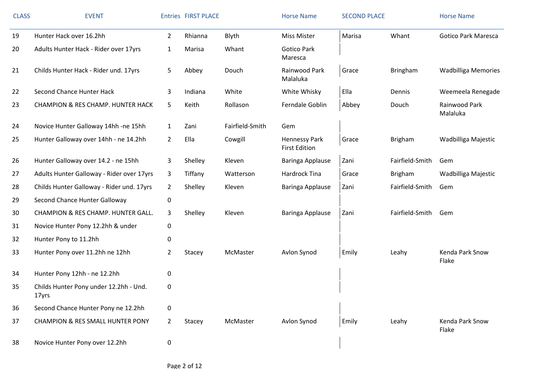| <b>CLASS</b> | <b>EVENT</b>                                    |                | <b>Entries FIRST PLACE</b> |                 | <b>Horse Name</b>                     | <b>SECOND PLACE</b> |                 | <b>Horse Name</b>          |
|--------------|-------------------------------------------------|----------------|----------------------------|-----------------|---------------------------------------|---------------------|-----------------|----------------------------|
| 19           | Hunter Hack over 16.2hh                         | $2^{\circ}$    | Rhianna                    | Blyth           | <b>Miss Mister</b>                    | Marisa              | Whant           | <b>Gotico Park Maresca</b> |
| 20           | Adults Hunter Hack - Rider over 17yrs           | 1              | Marisa                     | Whant           | <b>Gotico Park</b><br>Maresca         |                     |                 |                            |
| 21           | Childs Hunter Hack - Rider und. 17yrs           | 5              | Abbey                      | Douch           | Rainwood Park<br>Malaluka             | Grace               | <b>Bringham</b> | <b>Wadbilliga Memories</b> |
| 22           | Second Chance Hunter Hack                       | 3              | Indiana                    | White           | White Whisky                          | Ella                | Dennis          | Weemeela Renegade          |
| 23           | <b>CHAMPION &amp; RES CHAMP. HUNTER HACK</b>    | 5              | Keith                      | Rollason        | Ferndale Goblin                       | Abbey               | Douch           | Rainwood Park<br>Malaluka  |
| 24           | Novice Hunter Galloway 14hh -ne 15hh            | $\mathbf{1}$   | Zani                       | Fairfield-Smith | Gem                                   |                     |                 |                            |
| 25           | Hunter Galloway over 14hh - ne 14.2hh           | $\overline{2}$ | Ella                       | Cowgill         | Hennessy Park<br><b>First Edition</b> | Grace               | <b>Brigham</b>  | Wadbilliga Majestic        |
| 26           | Hunter Galloway over 14.2 - ne 15hh             | 3              | Shelley                    | Kleven          | Baringa Applause                      | Zani                | Fairfield-Smith | Gem                        |
| 27           | Adults Hunter Galloway - Rider over 17yrs       | 3              | Tiffany                    | Watterson       | Hardrock Tina                         | Grace               | <b>Brigham</b>  | Wadbilliga Majestic        |
| 28           | Childs Hunter Galloway - Rider und. 17yrs       | $\overline{2}$ | Shelley                    | Kleven          | Baringa Applause                      | Zani                | Fairfield-Smith | Gem                        |
| 29           | Second Chance Hunter Galloway                   | 0              |                            |                 |                                       |                     |                 |                            |
| 30           | CHAMPION & RES CHAMP. HUNTER GALL.              | 3              | Shelley                    | Kleven          | Baringa Applause                      | Zani                | Fairfield-Smith | Gem                        |
| 31           | Novice Hunter Pony 12.2hh & under               | 0              |                            |                 |                                       |                     |                 |                            |
| 32           | Hunter Pony to 11.2hh                           | 0              |                            |                 |                                       |                     |                 |                            |
| 33           | Hunter Pony over 11.2hh ne 12hh                 | $\overline{2}$ | Stacey                     | McMaster        | Avlon Synod                           | Emily               | Leahy           | Kenda Park Snow<br>Flake   |
| 34           | Hunter Pony 12hh - ne 12.2hh                    | 0              |                            |                 |                                       |                     |                 |                            |
| 35           | Childs Hunter Pony under 12.2hh - Und.<br>17yrs | 0              |                            |                 |                                       |                     |                 |                            |
| 36           | Second Chance Hunter Pony ne 12.2hh             | 0              |                            |                 |                                       |                     |                 |                            |
| 37           | <b>CHAMPION &amp; RES SMALL HUNTER PONY</b>     | $\overline{2}$ | Stacey                     | McMaster        | Avlon Synod                           | Emily               | Leahy           | Kenda Park Snow<br>Flake   |
| 38           | Novice Hunter Pony over 12.2hh                  | 0              |                            |                 |                                       |                     |                 |                            |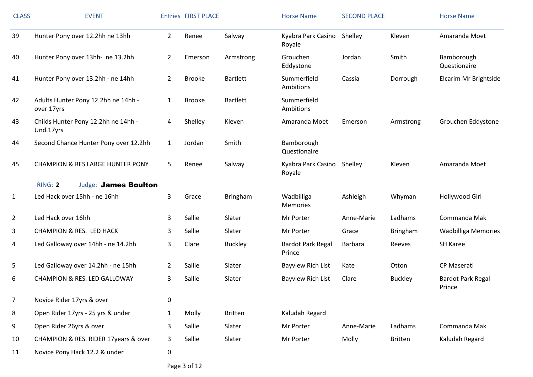| <b>CLASS</b>   | <b>EVENT</b>                                      |                | <b>Entries FIRST PLACE</b> |                 | <b>Horse Name</b>                      | <b>SECOND PLACE</b> |                | <b>Horse Name</b>                  |
|----------------|---------------------------------------------------|----------------|----------------------------|-----------------|----------------------------------------|---------------------|----------------|------------------------------------|
| 39             | Hunter Pony over 12.2hh ne 13hh                   | $2^{\circ}$    | Renee                      | Salway          | Kyabra Park Casino<br>Royale           | Shelley             | Kleven         | Amaranda Moet                      |
| 40             | Hunter Pony over 13hh- ne 13.2hh                  | 2              | Emerson                    | Armstrong       | Grouchen<br>Eddystone                  | Jordan              | Smith          | Bamborough<br>Questionaire         |
| 41             | Hunter Pony over 13.2hh - ne 14hh                 | $\overline{2}$ | <b>Brooke</b>              | <b>Bartlett</b> | Summerfield<br>Ambitions               | Cassia              | Dorrough       | Elcarim Mr Brightside              |
| 42             | Adults Hunter Pony 12.2hh ne 14hh -<br>over 17yrs | $\mathbf{1}$   | <b>Brooke</b>              | <b>Bartlett</b> | Summerfield<br>Ambitions               |                     |                |                                    |
| 43             | Childs Hunter Pony 12.2hh ne 14hh -<br>Und.17yrs  | 4              | Shelley                    | Kleven          | Amaranda Moet                          | Emerson             | Armstrong      | Grouchen Eddystone                 |
| 44             | Second Chance Hunter Pony over 12.2hh             | $\mathbf{1}$   | Jordan                     | Smith           | Bamborough<br>Questionaire             |                     |                |                                    |
| 45             | <b>CHAMPION &amp; RES LARGE HUNTER PONY</b>       | 5              | Renee                      | Salway          | Kyabra Park Casino   Shelley<br>Royale |                     | Kleven         | Amaranda Moet                      |
|                | RING: 2<br><b>Judge: James Boulton</b>            |                |                            |                 |                                        |                     |                |                                    |
| 1              | Led Hack over 15hh - ne 16hh                      | 3              | Grace                      | Bringham        | Wadbilliga<br><b>Memories</b>          | Ashleigh            | Whyman         | Hollywood Girl                     |
| $\overline{2}$ | Led Hack over 16hh                                | 3              | Sallie                     | Slater          | Mr Porter                              | Anne-Marie          | Ladhams        | Commanda Mak                       |
| 3              | <b>CHAMPION &amp; RES. LED HACK</b>               | 3              | Sallie                     | Slater          | Mr Porter                              | Grace               | Bringham       | <b>Wadbilliga Memories</b>         |
| 4              | Led Galloway over 14hh - ne 14.2hh                | 3              | Clare                      | <b>Buckley</b>  | <b>Bardot Park Regal</b><br>Prince     | Barbara             | Reeves         | <b>SH Karee</b>                    |
| 5              | Led Galloway over 14.2hh - ne 15hh                | $\mathbf{2}$   | Sallie                     | Slater          | <b>Bayview Rich List</b>               | Kate                | Otton          | <b>CP Maserati</b>                 |
| 6              | <b>CHAMPION &amp; RES. LED GALLOWAY</b>           | 3              | Sallie                     | Slater          | Bayview Rich List                      | Clare               | <b>Buckley</b> | <b>Bardot Park Regal</b><br>Prince |
| $\overline{7}$ | Novice Rider 17yrs & over                         | 0              |                            |                 |                                        |                     |                |                                    |
| 8              | Open Rider 17yrs - 25 yrs & under                 | $\mathbf{1}$   | Molly                      | <b>Britten</b>  | Kaludah Regard                         |                     |                |                                    |
| 9              | Open Rider 26yrs & over                           | 3              | Sallie                     | Slater          | Mr Porter                              | Anne-Marie          | Ladhams        | Commanda Mak                       |
| 10             | CHAMPION & RES. RIDER 17years & over              | 3              | Sallie                     | Slater          | Mr Porter                              | Molly               | <b>Britten</b> | Kaludah Regard                     |
| 11             | Novice Pony Hack 12.2 & under                     | 0              |                            |                 |                                        |                     |                |                                    |

Page 3 of 12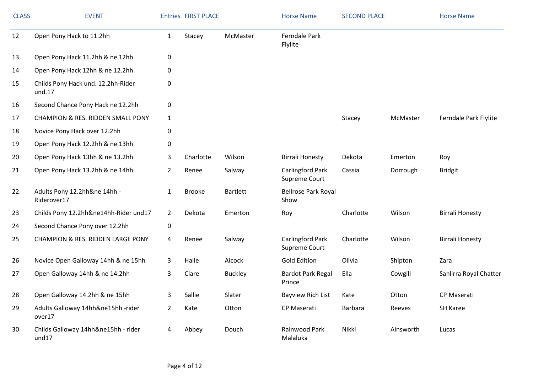| <b>CLASS</b> | <b>EVENT</b>                                 |                | <b>Entries FIRST PLACE</b> |                 | <b>Horse Name</b>                        | <b>SECOND PLACE</b> |           | <b>Horse Name</b>      |
|--------------|----------------------------------------------|----------------|----------------------------|-----------------|------------------------------------------|---------------------|-----------|------------------------|
| 12           | Open Pony Hack to 11.2hh                     | $\mathbf{1}$   | Stacey                     | McMaster        | Ferndale Park<br>Flylite                 |                     |           |                        |
| 13           | Open Pony Hack 11.2hh & ne 12hh              | 0              |                            |                 |                                          |                     |           |                        |
| 14           | Open Pony Hack 12hh & ne 12.2hh              | 0              |                            |                 |                                          |                     |           |                        |
| 15           | Childs Pony Hack und. 12.2hh-Rider<br>und.17 | 0              |                            |                 |                                          |                     |           |                        |
| 16           | Second Chance Pony Hack ne 12.2hh            | 0              |                            |                 |                                          |                     |           |                        |
| 17           | <b>CHAMPION &amp; RES. RIDDEN SMALL PONY</b> | 1              |                            |                 |                                          | Stacey              | McMaster  | Ferndale Park Flylite  |
| 18           | Novice Pony Hack over 12.2hh                 | 0              |                            |                 |                                          |                     |           |                        |
| 19           | Open Pony Hack 12.2hh & ne 13hh              | 0              |                            |                 |                                          |                     |           |                        |
| 20           | Open Pony Hack 13hh & ne 13.2hh              | 3              | Charlotte                  | Wilson          | <b>Birrali Honesty</b>                   | Dekota              | Emerton   | Roy                    |
| 21           | Open Pony Hack 13.2hh & ne 14hh              | 2              | Renee                      | Salway          | Carlingford Park<br>Supreme Court        | Cassia              | Dorrough  | <b>Bridgit</b>         |
| 22           | Adults Pony 12.2hh≠ 14hh -<br>Riderover17    | $\mathbf{1}$   | <b>Brooke</b>              | <b>Bartlett</b> | <b>Bellrose Park Royal</b><br>Show       |                     |           |                        |
| 23           | Childs Pony 12.2hh&ne14hh-Rider und17        | $\mathbf{2}$   | Dekota                     | Emerton         | Roy                                      | Charlotte           | Wilson    | <b>Birrali Honesty</b> |
| 24           | Second Chance Pony over 12.2hh               | 0              |                            |                 |                                          |                     |           |                        |
| 25           | <b>CHAMPION &amp; RES. RIDDEN LARGE PONY</b> | 4              | Renee                      | Salway          | <b>Carlingford Park</b><br>Supreme Court | Charlotte           | Wilson    | <b>Birrali Honesty</b> |
| 26           | Novice Open Galloway 14hh & ne 15hh          | 3              | Halle                      | Alcock          | <b>Gold Edition</b>                      | Olivia              | Shipton   | Zara                   |
| 27           | Open Galloway 14hh & ne 14.2hh               | 3              | Clare                      | <b>Buckley</b>  | <b>Bardot Park Regal</b><br>Prince       | Ella                | Cowgill   | Sanlirra Royal Chatter |
| 28           | Open Galloway 14.2hh & ne 15hh               | 3              | Sallie                     | Slater          | <b>Bayview Rich List</b>                 | Kate                | Otton     | CP Maserati            |
| 29           | Adults Galloway 14hh&ne15hh -rider<br>over17 | $\overline{2}$ | Kate                       | Otton           | CP Maserati                              | Barbara             | Reeves    | SH Karee               |
| 30           | Childs Galloway 14hh&ne15hh - rider<br>und17 | 4              | Abbey                      | Douch           | Rainwood Park<br>Malaluka                | Nikki               | Ainsworth | Lucas                  |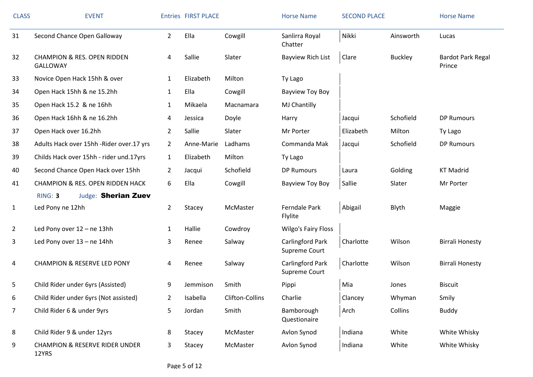| <b>CLASS</b>   | <b>EVENT</b>                                              |                | <b>Entries FIRST PLACE</b> |                 | <b>Horse Name</b>                 | <b>SECOND PLACE</b> |                | <b>Horse Name</b>           |
|----------------|-----------------------------------------------------------|----------------|----------------------------|-----------------|-----------------------------------|---------------------|----------------|-----------------------------|
| 31             | Second Chance Open Galloway                               | $2^{\circ}$    | Ella                       | Cowgill         | Sanlirra Royal<br>Chatter         | Nikki               | Ainsworth      | Lucas                       |
| 32             | <b>CHAMPION &amp; RES. OPEN RIDDEN</b><br><b>GALLOWAY</b> | 4              | Sallie                     | Slater          | <b>Bayview Rich List</b>          | Clare               | <b>Buckley</b> | Bardot Park Regal<br>Prince |
| 33             | Novice Open Hack 15hh & over                              | $\mathbf{1}$   | Elizabeth                  | Milton          | Ty Lago                           |                     |                |                             |
| 34             | Open Hack 15hh & ne 15.2hh                                | $\mathbf{1}$   | Ella                       | Cowgill         | Bayview Toy Boy                   |                     |                |                             |
| 35             | Open Hack 15.2 & ne 16hh                                  | $\mathbf{1}$   | Mikaela                    | Macnamara       | MJ Chantilly                      |                     |                |                             |
| 36             | Open Hack 16hh & ne 16.2hh                                | 4              | Jessica                    | Doyle           | Harry                             | Jacqui              | Schofield      | <b>DP Rumours</b>           |
| 37             | Open Hack over 16.2hh                                     | $\overline{2}$ | Sallie                     | Slater          | Mr Porter                         | Elizabeth           | Milton         | Ty Lago                     |
| 38             | Adults Hack over 15hh -Rider over.17 yrs                  | $\overline{2}$ | Anne-Marie                 | Ladhams         | Commanda Mak                      | Jacqui              | Schofield      | <b>DP Rumours</b>           |
| 39             | Childs Hack over 15hh - rider und.17yrs                   | $\mathbf{1}$   | Elizabeth                  | Milton          | Ty Lago                           |                     |                |                             |
| 40             | Second Chance Open Hack over 15hh                         | $\overline{2}$ | Jacqui                     | Schofield       | <b>DP Rumours</b>                 | Laura               | Golding        | <b>KT Madrid</b>            |
| 41             | <b>CHAMPION &amp; RES. OPEN RIDDEN HACK</b>               | 6              | Ella                       | Cowgill         | Bayview Toy Boy                   | Sallie              | Slater         | Mr Porter                   |
|                | RING: 3<br><b>Judge: Sherian Zuev</b>                     |                |                            |                 |                                   |                     |                |                             |
| $\mathbf{1}$   | Led Pony ne 12hh                                          | $\overline{2}$ | Stacey                     | McMaster        | Ferndale Park<br>Flylite          | Abigail             | Blyth          | Maggie                      |
| $\overline{2}$ | Led Pony over 12 - ne 13hh                                | 1              | Hallie                     | Cowdroy         | <b>Wilgo's Fairy Floss</b>        |                     |                |                             |
| 3              | Led Pony over 13 - ne 14hh                                | 3              | Renee                      | Salway          | Carlingford Park<br>Supreme Court | Charlotte           | Wilson         | <b>Birrali Honesty</b>      |
| 4              | <b>CHAMPION &amp; RESERVE LED PONY</b>                    | 4              | Renee                      | Salway          | Carlingford Park<br>Supreme Court | Charlotte           | Wilson         | <b>Birrali Honesty</b>      |
| 5              | Child Rider under 6yrs (Assisted)                         | 9              | Jemmison                   | Smith           | Pippi                             | Mia                 | Jones          | <b>Biscuit</b>              |
| 6              | Child Rider under 6yrs (Not assisted)                     | $\overline{2}$ | Isabella                   | Clifton-Collins | Charlie                           | Clancey             | Whyman         | Smily                       |
| 7              | Child Rider 6 & under 9yrs                                | 5              | Jordan                     | Smith           | Bamborough<br>Questionaire        | Arch                | Collins        | <b>Buddy</b>                |
| 8              | Child Rider 9 & under 12yrs                               | 8              | Stacey                     | McMaster        | Avlon Synod                       | Indiana             | White          | White Whisky                |
| 9              | <b>CHAMPION &amp; RESERVE RIDER UNDER</b><br>12YRS        | 3              | Stacey                     | McMaster        | Avlon Synod                       | Indiana             | White          | White Whisky                |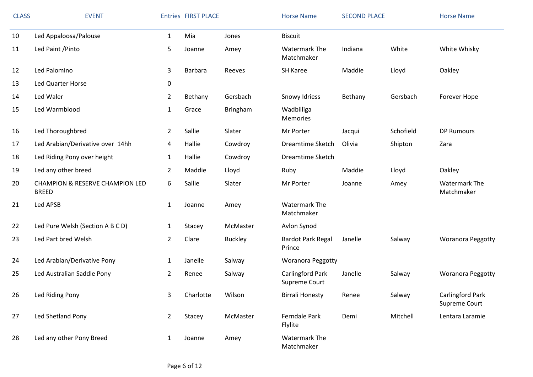| <b>CLASS</b> | <b>EVENT</b>                                               |                | <b>Entries FIRST PLACE</b> |                | <b>Horse Name</b>                  | <b>SECOND PLACE</b> |           | <b>Horse Name</b>                        |
|--------------|------------------------------------------------------------|----------------|----------------------------|----------------|------------------------------------|---------------------|-----------|------------------------------------------|
| 10           | Led Appaloosa/Palouse                                      | $\mathbf{1}$   | Mia                        | Jones          | <b>Biscuit</b>                     |                     |           |                                          |
| 11           | Led Paint / Pinto                                          | 5              | Joanne                     | Amey           | <b>Watermark The</b><br>Matchmaker | Indiana             | White     | White Whisky                             |
| 12           | Led Palomino                                               | 3              | Barbara                    | Reeves         | SH Karee                           | Maddie              | Lloyd     | Oakley                                   |
| 13           | Led Quarter Horse                                          | 0              |                            |                |                                    |                     |           |                                          |
| 14           | Led Waler                                                  | $\overline{2}$ | Bethany                    | Gersbach       | Snowy Idriess                      | Bethany             | Gersbach  | Forever Hope                             |
| 15           | Led Warmblood                                              | $\mathbf{1}$   | Grace                      | Bringham       | Wadbilliga<br><b>Memories</b>      |                     |           |                                          |
| 16           | Led Thoroughbred                                           | $\overline{2}$ | Sallie                     | Slater         | Mr Porter                          | Jacqui              | Schofield | <b>DP Rumours</b>                        |
| 17           | Led Arabian/Derivative over 14hh                           | 4              | Hallie                     | Cowdroy        | Dreamtime Sketch                   | Olivia              | Shipton   | Zara                                     |
| 18           | Led Riding Pony over height                                | $\mathbf{1}$   | Hallie                     | Cowdroy        | Dreamtime Sketch                   |                     |           |                                          |
| 19           | Led any other breed                                        | $\overline{2}$ | Maddie                     | Lloyd          | Ruby                               | Maddie              | Lloyd     | Oakley                                   |
| 20           | <b>CHAMPION &amp; RESERVE CHAMPION LED</b><br><b>BREED</b> | 6              | Sallie                     | Slater         | Mr Porter                          | Joanne              | Amey      | <b>Watermark The</b><br>Matchmaker       |
| 21           | Led APSB                                                   | $\mathbf{1}$   | Joanne                     | Amey           | Watermark The<br>Matchmaker        |                     |           |                                          |
| 22           | Led Pure Welsh (Section A B C D)                           | $\mathbf{1}$   | Stacey                     | McMaster       | Avlon Synod                        |                     |           |                                          |
| 23           | Led Part bred Welsh                                        | $\overline{2}$ | Clare                      | <b>Buckley</b> | <b>Bardot Park Regal</b><br>Prince | Janelle             | Salway    | <b>Woranora Peggotty</b>                 |
| 24           | Led Arabian/Derivative Pony                                | $\mathbf{1}$   | Janelle                    | Salway         | Woranora Peggotty                  |                     |           |                                          |
| 25           | Led Australian Saddle Pony                                 | $\overline{2}$ | Renee                      | Salway         | Carlingford Park<br>Supreme Court  | Janelle             | Salway    | <b>Woranora Peggotty</b>                 |
| 26           | Led Riding Pony                                            | 3 <sup>7</sup> | Charlotte                  | Wilson         | <b>Birrali Honesty</b>             | Renee               | Salway    | <b>Carlingford Park</b><br>Supreme Court |
| 27           | Led Shetland Pony                                          | $\overline{2}$ | Stacey                     | McMaster       | Ferndale Park<br>Flylite           | Demi                | Mitchell  | Lentara Laramie                          |
| 28           | Led any other Pony Breed                                   | 1              | Joanne                     | Amey           | <b>Watermark The</b><br>Matchmaker |                     |           |                                          |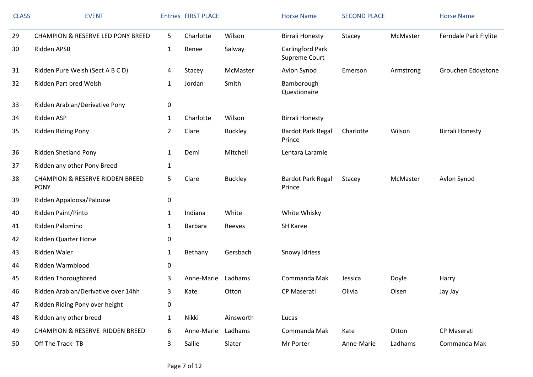| <b>CLASS</b> | <b>EVENT</b>                                              |                | <b>Entries FIRST PLACE</b> |                | <b>Horse Name</b>                  | <b>SECOND PLACE</b> |           | <b>Horse Name</b>      |
|--------------|-----------------------------------------------------------|----------------|----------------------------|----------------|------------------------------------|---------------------|-----------|------------------------|
| 29           | <b>CHAMPION &amp; RESERVE LED PONY BREED</b>              | 5              | Charlotte                  | Wilson         | <b>Birrali Honesty</b>             | Stacey              | McMaster  | Ferndale Park Flylite  |
| 30           | Ridden APSB                                               | $\mathbf{1}$   | Renee                      | Salway         | Carlingford Park<br>Supreme Court  |                     |           |                        |
| 31           | Ridden Pure Welsh (Sect A B C D)                          | 4              | Stacey                     | McMaster       | Avlon Synod                        | Emerson             | Armstrong | Grouchen Eddystone     |
| 32           | Ridden Part bred Welsh                                    | $\mathbf{1}$   | Jordan                     | Smith          | Bamborough<br>Questionaire         |                     |           |                        |
| 33           | Ridden Arabian/Derivative Pony                            | 0              |                            |                |                                    |                     |           |                        |
| 34           | Ridden ASP                                                | $\mathbf{1}$   | Charlotte                  | Wilson         | <b>Birrali Honesty</b>             |                     |           |                        |
| 35           | Ridden Riding Pony                                        | $\overline{2}$ | Clare                      | <b>Buckley</b> | <b>Bardot Park Regal</b><br>Prince | Charlotte           | Wilson    | <b>Birrali Honesty</b> |
| 36           | Ridden Shetland Pony                                      | 1              | Demi                       | Mitchell       | Lentara Laramie                    |                     |           |                        |
| 37           | Ridden any other Pony Breed                               | $\mathbf{1}$   |                            |                |                                    |                     |           |                        |
| 38           | <b>CHAMPION &amp; RESERVE RIDDEN BREED</b><br><b>PONY</b> | 5              | Clare                      | <b>Buckley</b> | <b>Bardot Park Regal</b><br>Prince | Stacey              | McMaster  | Avlon Synod            |
| 39           | Ridden Appaloosa/Palouse                                  | $\pmb{0}$      |                            |                |                                    |                     |           |                        |
| 40           | Ridden Paint/Pinto                                        | $\mathbf{1}$   | Indiana                    | White          | White Whisky                       |                     |           |                        |
| 41           | Ridden Palomino                                           | $\mathbf{1}$   | Barbara                    | Reeves         | SH Karee                           |                     |           |                        |
| 42           | <b>Ridden Quarter Horse</b>                               | 0              |                            |                |                                    |                     |           |                        |
| 43           | Ridden Waler                                              | $\mathbf{1}$   | Bethany                    | Gersbach       | Snowy Idriess                      |                     |           |                        |
| 44           | Ridden Warmblood                                          | 0              |                            |                |                                    |                     |           |                        |
| 45           | Ridden Thoroughbred                                       | 3              | Anne-Marie                 | Ladhams        | Commanda Mak                       | Jessica             | Doyle     | Harry                  |
| 46           | Ridden Arabian/Derivative over 14hh                       | 3              | Kate                       | Otton          | CP Maserati                        | Olivia              | Olsen     | Jay Jay                |
| 47           | Ridden Riding Pony over height                            | 0              |                            |                |                                    |                     |           |                        |
| 48           | Ridden any other breed                                    | $\mathbf{1}$   | Nikki                      | Ainsworth      | Lucas                              |                     |           |                        |
| 49           | <b>CHAMPION &amp; RESERVE RIDDEN BREED</b>                | 6              | Anne-Marie                 | Ladhams        | Commanda Mak                       | Kate                | Otton     | CP Maserati            |
| 50           | Off The Track-TB                                          | 3              | Sallie                     | Slater         | Mr Porter                          | Anne-Marie          | Ladhams   | Commanda Mak           |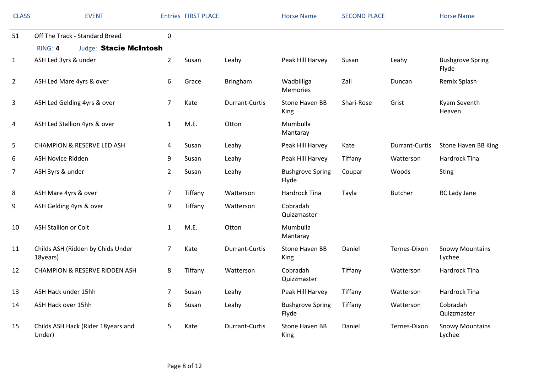| <b>CLASS</b>   | <b>EVENT</b>                                                               |                | <b>Entries FIRST PLACE</b> |                       | <b>Horse Name</b>                | <b>SECOND PLACE</b> |                | <b>Horse Name</b>                |
|----------------|----------------------------------------------------------------------------|----------------|----------------------------|-----------------------|----------------------------------|---------------------|----------------|----------------------------------|
| 51             | Off The Track - Standard Breed<br>RING: 4<br><b>Judge: Stacie McIntosh</b> | 0              |                            |                       |                                  |                     |                |                                  |
| $\mathbf{1}$   | ASH Led 3yrs & under                                                       | $\overline{2}$ | Susan                      | Leahy                 | Peak Hill Harvey                 | Susan               | Leahy          | <b>Bushgrove Spring</b><br>Flyde |
| $\overline{2}$ | ASH Led Mare 4yrs & over                                                   | 6              | Grace                      | Bringham              | Wadbilliga<br><b>Memories</b>    | Zali                | Duncan         | Remix Splash                     |
| 3              | ASH Led Gelding 4yrs & over                                                | $\overline{7}$ | Kate                       | Durrant-Curtis        | Stone Haven BB<br>King           | Shari-Rose          | Grist          | Kyam Seventh<br>Heaven           |
| 4              | ASH Led Stallion 4yrs & over                                               | $\mathbf{1}$   | M.E.                       | Otton                 | Mumbulla<br>Mantaray             |                     |                |                                  |
| 5              | <b>CHAMPION &amp; RESERVE LED ASH</b>                                      | 4              | Susan                      | Leahy                 | Peak Hill Harvey                 | Kate                | Durrant-Curtis | Stone Haven BB King              |
| 6              | <b>ASH Novice Ridden</b>                                                   | 9              | Susan                      | Leahy                 | Peak Hill Harvey                 | Tiffany             | Watterson      | Hardrock Tina                    |
| 7              | ASH 3yrs & under                                                           | $\overline{2}$ | Susan                      | Leahy                 | <b>Bushgrove Spring</b><br>Flyde | Coupar              | Woods          | <b>Sting</b>                     |
| 8              | ASH Mare 4yrs & over                                                       | 7              | Tiffany                    | Watterson             | Hardrock Tina                    | Tayla               | <b>Butcher</b> | RC Lady Jane                     |
| 9              | ASH Gelding 4yrs & over                                                    | 9              | Tiffany                    | Watterson             | Cobradah<br>Quizzmaster          |                     |                |                                  |
| 10             | <b>ASH Stallion or Colt</b>                                                | $\mathbf{1}$   | M.E.                       | Otton                 | Mumbulla<br>Mantaray             |                     |                |                                  |
| 11             | Childs ASH (Ridden by Chids Under<br>18years)                              | 7              | Kate                       | Durrant-Curtis        | Stone Haven BB<br>King           | Daniel              | Ternes-Dixon   | <b>Snowy Mountains</b><br>Lychee |
| 12             | <b>CHAMPION &amp; RESERVE RIDDEN ASH</b>                                   | 8              | Tiffany                    | Watterson             | Cobradah<br>Quizzmaster          | Tiffany             | Watterson      | Hardrock Tina                    |
| 13             | ASH Hack under 15hh                                                        | 7              | Susan                      | Leahy                 | Peak Hill Harvey                 | Tiffany             | Watterson      | Hardrock Tina                    |
| 14             | ASH Hack over 15hh                                                         | 6              | Susan                      | Leahy                 | <b>Bushgrove Spring</b><br>Flyde | Tiffany             | Watterson      | Cobradah<br>Quizzmaster          |
| 15             | Childs ASH Hack (Rider 18years and<br>Under)                               | 5              | Kate                       | <b>Durrant-Curtis</b> | Stone Haven BB<br>King           | Daniel              | Ternes-Dixon   | <b>Snowy Mountains</b><br>Lychee |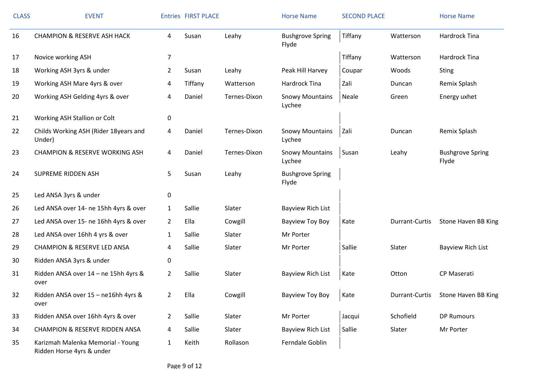| <b>CLASS</b> | <b>EVENT</b>                                                   |                | <b>Entries FIRST PLACE</b> |              | <b>Horse Name</b>                | <b>SECOND PLACE</b> |                | <b>Horse Name</b>                |
|--------------|----------------------------------------------------------------|----------------|----------------------------|--------------|----------------------------------|---------------------|----------------|----------------------------------|
| 16           | <b>CHAMPION &amp; RESERVE ASH HACK</b>                         | 4              | Susan                      | Leahy        | <b>Bushgrove Spring</b><br>Flyde | Tiffany             | Watterson      | Hardrock Tina                    |
| 17           | Novice working ASH                                             | $\overline{7}$ |                            |              |                                  | Tiffany             | Watterson      | <b>Hardrock Tina</b>             |
| 18           | Working ASH 3yrs & under                                       | $\overline{2}$ | Susan                      | Leahy        | Peak Hill Harvey                 | Coupar              | Woods          | Sting                            |
| 19           | Working ASH Mare 4yrs & over                                   | 4              | Tiffany                    | Watterson    | Hardrock Tina                    | Zali                | Duncan         | Remix Splash                     |
| 20           | Working ASH Gelding 4yrs & over                                | 4              | Daniel                     | Ternes-Dixon | <b>Snowy Mountains</b><br>Lychee | Neale               | Green          | Energy uxhet                     |
| 21           | Working ASH Stallion or Colt                                   | 0              |                            |              |                                  |                     |                |                                  |
| 22           | Childs Working ASH (Rider 18years and<br>Under)                | 4              | Daniel                     | Ternes-Dixon | <b>Snowy Mountains</b><br>Lychee | Zali                | Duncan         | Remix Splash                     |
| 23           | <b>CHAMPION &amp; RESERVE WORKING ASH</b>                      | 4              | Daniel                     | Ternes-Dixon | <b>Snowy Mountains</b><br>Lychee | Susan               | Leahy          | <b>Bushgrove Spring</b><br>Flyde |
| 24           | <b>SUPREME RIDDEN ASH</b>                                      | 5              | Susan                      | Leahy        | <b>Bushgrove Spring</b><br>Flyde |                     |                |                                  |
| 25           | Led ANSA 3yrs & under                                          | 0              |                            |              |                                  |                     |                |                                  |
| 26           | Led ANSA over 14- ne 15hh 4yrs & over                          | $\mathbf{1}$   | Sallie                     | Slater       | <b>Bayview Rich List</b>         |                     |                |                                  |
| 27           | Led ANSA over 15- ne 16hh 4yrs & over                          | $\overline{2}$ | Ella                       | Cowgill      | Bayview Toy Boy                  | Kate                | Durrant-Curtis | Stone Haven BB King              |
| 28           | Led ANSA over 16hh 4 yrs & over                                | $\mathbf{1}$   | Sallie                     | Slater       | Mr Porter                        |                     |                |                                  |
| 29           | <b>CHAMPION &amp; RESERVE LED ANSA</b>                         | 4              | Sallie                     | Slater       | Mr Porter                        | Sallie              | Slater         | Bayview Rich List                |
| 30           | Ridden ANSA 3yrs & under                                       | 0              |                            |              |                                  |                     |                |                                  |
| 31           | Ridden ANSA over 14 - ne 15hh 4yrs &<br>over                   | $\overline{2}$ | Sallie                     | Slater       | <b>Bayview Rich List</b>         | Kate                | Otton          | <b>CP Maserati</b>               |
| 32           | Ridden ANSA over 15 - ne16hh 4yrs &<br>over                    | $\overline{2}$ | Ella                       | Cowgill      | <b>Bayview Toy Boy</b>           | Kate                | Durrant-Curtis | Stone Haven BB King              |
| 33           | Ridden ANSA over 16hh 4yrs & over                              | $\overline{2}$ | Sallie                     | Slater       | Mr Porter                        | Jacqui              | Schofield      | <b>DP Rumours</b>                |
| 34           | <b>CHAMPION &amp; RESERVE RIDDEN ANSA</b>                      | 4              | Sallie                     | Slater       | Bayview Rich List                | Sallie              | Slater         | Mr Porter                        |
| 35           | Karizmah Malenka Memorial - Young<br>Ridden Horse 4yrs & under | $\mathbf{1}$   | Keith                      | Rollason     | Ferndale Goblin                  |                     |                |                                  |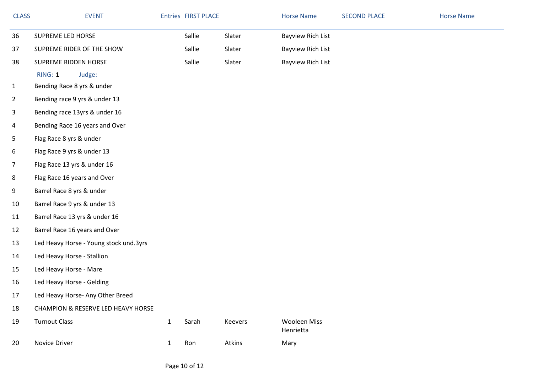| <b>CLASS</b>   | <b>EVENT</b>                           |              | <b>Entries FIRST PLACE</b> |         | <b>Horse Name</b>                | <b>SECOND PLACE</b> | <b>Horse Name</b> |
|----------------|----------------------------------------|--------------|----------------------------|---------|----------------------------------|---------------------|-------------------|
| 36             | SUPREME LED HORSE                      |              | Sallie                     | Slater  | <b>Bayview Rich List</b>         |                     |                   |
| 37             | SUPREME RIDER OF THE SHOW              |              | Sallie                     | Slater  | <b>Bayview Rich List</b>         |                     |                   |
| 38             | SUPREME RIDDEN HORSE                   |              | Sallie                     | Slater  | <b>Bayview Rich List</b>         |                     |                   |
|                | RING: 1<br>Judge:                      |              |                            |         |                                  |                     |                   |
| $\mathbf{1}$   | Bending Race 8 yrs & under             |              |                            |         |                                  |                     |                   |
| $\overline{2}$ | Bending race 9 yrs & under 13          |              |                            |         |                                  |                     |                   |
| 3              | Bending race 13yrs & under 16          |              |                            |         |                                  |                     |                   |
| 4              | Bending Race 16 years and Over         |              |                            |         |                                  |                     |                   |
| 5              | Flag Race 8 yrs & under                |              |                            |         |                                  |                     |                   |
| 6              | Flag Race 9 yrs & under 13             |              |                            |         |                                  |                     |                   |
| $\overline{7}$ | Flag Race 13 yrs & under 16            |              |                            |         |                                  |                     |                   |
| 8              | Flag Race 16 years and Over            |              |                            |         |                                  |                     |                   |
| 9              | Barrel Race 8 yrs & under              |              |                            |         |                                  |                     |                   |
| 10             | Barrel Race 9 yrs & under 13           |              |                            |         |                                  |                     |                   |
| 11             | Barrel Race 13 yrs & under 16          |              |                            |         |                                  |                     |                   |
| 12             | Barrel Race 16 years and Over          |              |                            |         |                                  |                     |                   |
| 13             | Led Heavy Horse - Young stock und.3yrs |              |                            |         |                                  |                     |                   |
| 14             | Led Heavy Horse - Stallion             |              |                            |         |                                  |                     |                   |
| 15             | Led Heavy Horse - Mare                 |              |                            |         |                                  |                     |                   |
| 16             | Led Heavy Horse - Gelding              |              |                            |         |                                  |                     |                   |
| 17             | Led Heavy Horse- Any Other Breed       |              |                            |         |                                  |                     |                   |
| 18             | CHAMPION & RESERVE LED HEAVY HORSE     |              |                            |         |                                  |                     |                   |
| 19             | <b>Turnout Class</b>                   | $\mathbf{1}$ | Sarah                      | Keevers | <b>Wooleen Miss</b><br>Henrietta |                     |                   |
| 20             | Novice Driver                          | $\mathbf{1}$ | Ron                        | Atkins  | Mary                             |                     |                   |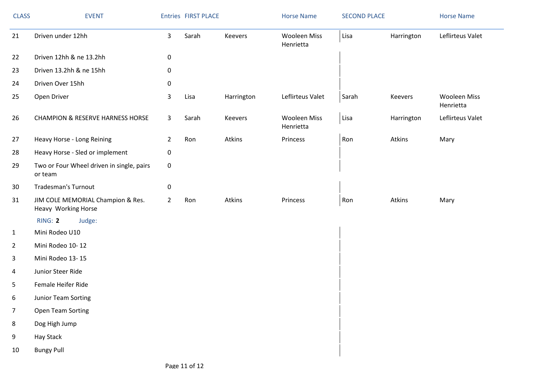| <b>CLASS</b>   | <b>EVENT</b>                                             |                | <b>Entries FIRST PLACE</b> |            | <b>Horse Name</b>                | <b>SECOND PLACE</b> |            | <b>Horse Name</b>                |
|----------------|----------------------------------------------------------|----------------|----------------------------|------------|----------------------------------|---------------------|------------|----------------------------------|
| 21             | Driven under 12hh                                        | $\mathsf{3}$   | Sarah                      | Keevers    | <b>Wooleen Miss</b><br>Henrietta | Lisa                | Harrington | Leflirteus Valet                 |
| 22             | Driven 12hh & ne 13.2hh                                  | 0              |                            |            |                                  |                     |            |                                  |
| 23             | Driven 13.2hh & ne 15hh                                  | 0              |                            |            |                                  |                     |            |                                  |
| 24             | Driven Over 15hh                                         | $\pmb{0}$      |                            |            |                                  |                     |            |                                  |
| 25             | Open Driver                                              | $\mathsf{3}$   | Lisa                       | Harrington | Leflirteus Valet                 | Sarah               | Keevers    | <b>Wooleen Miss</b><br>Henrietta |
| 26             | <b>CHAMPION &amp; RESERVE HARNESS HORSE</b>              | $\mathbf{3}$   | Sarah                      | Keevers    | <b>Wooleen Miss</b><br>Henrietta | Lisa                | Harrington | Leflirteus Valet                 |
| 27             | Heavy Horse - Long Reining                               | $\overline{2}$ | Ron                        | Atkins     | Princess                         | Ron                 | Atkins     | Mary                             |
| 28             | Heavy Horse - Sled or implement                          | $\pmb{0}$      |                            |            |                                  |                     |            |                                  |
| 29             | Two or Four Wheel driven in single, pairs<br>or team     | $\pmb{0}$      |                            |            |                                  |                     |            |                                  |
| 30             | <b>Tradesman's Turnout</b>                               | 0              |                            |            |                                  |                     |            |                                  |
| 31             | JIM COLE MEMORIAL Champion & Res.<br>Heavy Working Horse | $\overline{2}$ | Ron                        | Atkins     | Princess                         | Ron                 | Atkins     | Mary                             |
|                | RING: 2<br>Judge:                                        |                |                            |            |                                  |                     |            |                                  |
| $\mathbf{1}$   | Mini Rodeo U10                                           |                |                            |            |                                  |                     |            |                                  |
| $\overline{2}$ | Mini Rodeo 10-12                                         |                |                            |            |                                  |                     |            |                                  |
| 3              | Mini Rodeo 13-15                                         |                |                            |            |                                  |                     |            |                                  |
| 4              | Junior Steer Ride                                        |                |                            |            |                                  |                     |            |                                  |
| 5              | Female Heifer Ride                                       |                |                            |            |                                  |                     |            |                                  |
| 6              | Junior Team Sorting                                      |                |                            |            |                                  |                     |            |                                  |
| $\overline{7}$ | Open Team Sorting                                        |                |                            |            |                                  |                     |            |                                  |
| 8              | Dog High Jump                                            |                |                            |            |                                  |                     |            |                                  |
| 9              | Hay Stack                                                |                |                            |            |                                  |                     |            |                                  |
| 10             | <b>Bungy Pull</b>                                        |                |                            |            |                                  |                     |            |                                  |